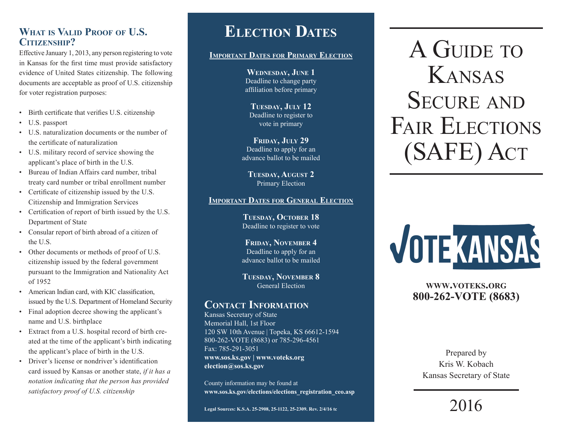# **What is Valid Proof of U.S. Citizenship?**

Effective January 1, 2013, any person registering to vote in Kansas for the first time must provide satisfactory evidence of United States citizenship. The following documents are acceptable as proof of U.S. citizenship for voter registration purposes:

- Birth certificate that verifies U.S. citizenship
- U.S. passport
- U.S. naturalization documents or the number of the certificate of naturalization
- U.S. military record of service showing the applicant's place of birth in the U.S.
- Bureau of Indian Affairs card number, tribal treaty card number or tribal enrollment number
- Certificate of citizenship issued by the U.S. Citizenship and Immigration Services
- Certification of report of birth issued by the U.S. Department of State
- Consular report of birth abroad of a citizen of the U.S.
- Other documents or methods of proof of U.S. citizenship issued by the federal government pursuant to the Immigration and Nationality Act of 1952
- American Indian card, with KIC classification, issued by the U.S. Department of Homeland Security
- Final adoption decree showing the applicant's name and U.S. birthplace
- Extract from a U.S. hospital record of birth created at the time of the applicant's birth indicating the applicant's place of birth in the U.S.
- Driver's license or nondriver's identification card issued by Kansas or another state, *if it has a notation indicating that the person has provided satisfactory proof of U.S. citizenship*

## **Election Dates**

#### **Important Dates for Primary Election**

**Wednesday, June 1** Deadline to change party affiliation before primary

**Tuesday, July 12** Deadline to register to vote in primary

FRIDAY, **JULY 29** Deadline to apply for an advance ballot to be mailed

**Tuesday, August 2** Primary Election

#### **Important Dates for General Election**

**Tuesday, October 18** Deadline to register to vote

**Friday, November 4** Deadline to apply for an advance ballot to be mailed

**Tuesday, November 8** General Election

## **Contact Information**

Kansas Secretary of State Memorial Hall, 1st Floor 120 SW 10th Avenue | Topeka, KS 66612-1594 800-262-VOTE (8683) or 785-296-4561 Fax: 785-291-3051 **[www.sos.ks.gov](http://www.sos.ks.gov) | [www.voteks.org](http://www.voteks.org) [election@sos.ks.gov](mailto:election@sos.ks.gov)**

County information may be found at **[www.sos.ks.gov/elections/elections\\_registration\\_ceo.asp](http://www.sos.ks.gov/elections/elections_registration_ceo.asp)**

A GUIDE TO Kansas SECURE AND FAIR ELECTIONS (SAFE) Act



### **[www.voteks.org](http://www.voteks.org) 800-262-VOTE (8683)**

Prepared by Kris W. Kobach Kansas Secretary of State

2016